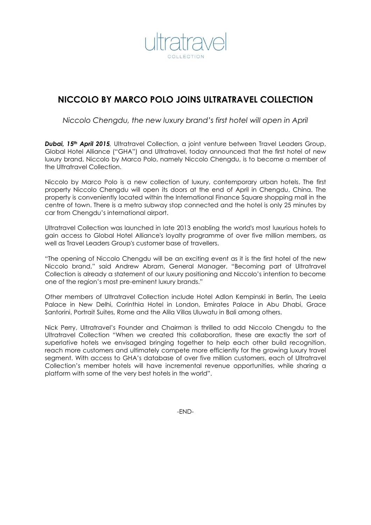

# **NICCOLO BY MARCO POLO JOINS ULTRATRAVEL COLLECTION**

*Niccolo Chengdu, the new luxury brand's first hotel will open in April*

*Dubai, 15th April 2015,* Ultratravel Collection, a joint venture between Travel Leaders Group, Global Hotel Alliance ("GHA") and Ultratravel, today announced that the first hotel of new luxury brand, Niccolo by Marco Polo, namely Niccolo Chengdu, is to become a member of the Ultratravel Collection.

Niccolo by Marco Polo is a new collection of luxury, contemporary urban hotels. The first property Niccolo Chengdu will open its doors at the end of April in Chengdu, China. The property is conveniently located within the International Finance Square shopping mall in the centre of town. There is a metro subway stop connected and the hotel is only 25 minutes by car from Chengdu's international airport.

Ultratravel Collection was launched in late 2013 enabling the world's most luxurious hotels to gain access to Global Hotel Alliance's loyalty programme of over five million members, as well as Travel Leaders Group's customer base of travellers.

"The opening of Niccolo Chengdu will be an exciting event as it is the first hotel of the new Niccolo brand," said Andrew Abram, General Manager. "Becoming part of Ultratravel Collection is already a statement of our luxury positioning and Niccolo's intention to become one of the region's most pre-eminent luxury brands."

Other members of Ultratravel Collection include Hotel Adlon Kempinski in Berlin, The Leela Palace in New Delhi, Corinthia Hotel in London, Emirates Palace in Abu Dhabi, Grace Santorini, Portrait Suites, Rome and the Alila Villas Uluwatu in Bali among others.

Nick Perry, Ultratravel's Founder and Chairman is thrilled to add Niccolo Chengdu to the Ultratravel Collection "When we created this collaboration, these are exactly the sort of superlative hotels we envisaged bringing together to help each other build recognition, reach more customers and ultimately compete more efficiently for the growing luxury travel segment. With access to GHA's database of over five million customers, each of Ultratravel Collection's member hotels will have incremental revenue opportunities, while sharing a platform with some of the very best hotels in the world".

-END-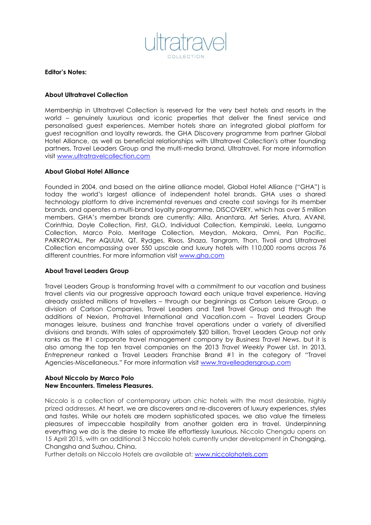

**Editor's Notes:**

## **About Ultratravel Collection**

Membership in Ultratravel Collection is reserved for the very best hotels and resorts in the world – genuinely luxurious and iconic properties that deliver the finest service and personalised guest experiences. Member hotels share an integrated global platform for guest recognition and loyalty rewards, the GHA Discovery programme from partner Global Hotel Alliance, as well as beneficial relationships with Ultratravel Collection's other founding partners, Travel Leaders Group and the multi-media brand, Ultratravel. For more information visit [www.ultratravelcollection.com](http://www.ultratravelcollection.com/)

## **About Global Hotel Alliance**

Founded in 2004, and based on the airline alliance model, Global Hotel Alliance ("GHA") is today the world's largest alliance of independent hotel brands. GHA uses a shared technology platform to drive incremental revenues and create cost savings for its member brands, and operates a multi-brand loyalty programme, DISCOVERY, which has over 5 million members. GHA's member brands are currently: Alila, Anantara, Art Series, Atura, AVANI, Corinthia, Doyle Collection, First, GLO, Individual Collection, Kempinski, Leela, Lungarno Collection, Marco Polo, Meritage Collection, Meydan, Mokara, Omni, Pan Pacific, PARKROYAL, Per AQUUM, QT, Rydges, Rixos, Shaza, Tangram, Thon, Tivoli and Ultratravel Collection encompassing over 550 upscale and luxury hotels with 110,000 rooms across 76 different countries. For more information visit [www.gha.com](http://www.gha.com/)

## **About Travel Leaders Group**

Travel Leaders Group is transforming travel with a commitment to our vacation and business travel clients via our progressive approach toward each unique travel experience. Having already assisted millions of travellers – through our beginnings as Carlson Leisure Group, a division of Carlson Companies, Travel Leaders and Tzell Travel Group and through the additions of Nexion, Protravel International and Vacation.com – Travel Leaders Group manages leisure, business and franchise travel operations under a variety of diversified divisions and brands. With sales of approximately \$20 billion, Travel Leaders Group not only ranks as the #1 corporate travel management company by *Business Travel News*, but it is also among the top ten travel companies on the 2013 *Travel Weekly* Power List. In 2013, *Entrepreneur* ranked a Travel Leaders Franchise Brand #1 in the category of "Travel Agencies-Miscellaneous." For more information visit [www.travelleadersgroup.com](http://www.travelleadersgroup.com/)

#### **About Niccolo by Marco Polo New Encounters. Timeless Pleasures.**

Niccolo is a collection of contemporary urban chic hotels with the most desirable, highly prized addresses. At heart, we are discoverers and re-discoverers of luxury experiences, styles and tastes. While our hotels are modern sophisticated spaces, we also value the timeless pleasures of impeccable hospitality from another golden era in travel. Underpinning everything we do is the desire to make life effortlessly luxurious. Niccolo Chengdu opens on 15 April 2015, with an additional 3 Niccolo hotels currently under development in Chongqing, Changsha and Suzhou, China.

Further details on Niccolo Hotels are available at: www.niccolohotels.com